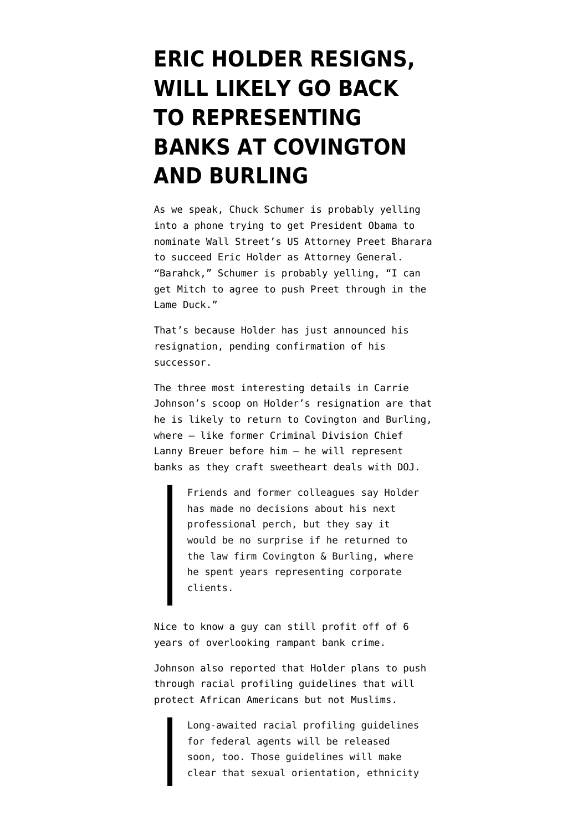## **[ERIC HOLDER RESIGNS,](https://www.emptywheel.net/2014/09/25/eric-holder-resigns-will-likely-go-back-to-supporting-banks-at-covington-and-burling/) [WILL LIKELY GO BACK](https://www.emptywheel.net/2014/09/25/eric-holder-resigns-will-likely-go-back-to-supporting-banks-at-covington-and-burling/) [TO REPRESENTING](https://www.emptywheel.net/2014/09/25/eric-holder-resigns-will-likely-go-back-to-supporting-banks-at-covington-and-burling/) [BANKS AT COVINGTON](https://www.emptywheel.net/2014/09/25/eric-holder-resigns-will-likely-go-back-to-supporting-banks-at-covington-and-burling/) [AND BURLING](https://www.emptywheel.net/2014/09/25/eric-holder-resigns-will-likely-go-back-to-supporting-banks-at-covington-and-burling/)**

As we speak, Chuck Schumer is probably yelling into a phone trying to get President Obama to nominate Wall Street's US Attorney Preet Bharara to succeed Eric Holder as Attorney General. "Barahck," Schumer is probably yelling, "I can get Mitch to agree to push Preet through in the Lame Duck."

That's because Holder has just announced his resignation, pending confirmation of his successor.

The three most interesting details in [Carrie](http://www.npr.org/blogs/thetwo-way/2014/09/25/351363171/eric-holder-to-step-down-as-attorney-general) [Johnson's scoop](http://www.npr.org/blogs/thetwo-way/2014/09/25/351363171/eric-holder-to-step-down-as-attorney-general) on Holder's resignation are that he is likely to return to Covington and Burling, where — like former Criminal Division Chief Lanny Breuer before him — he will represent banks as they craft sweetheart deals with DOJ.

> Friends and former colleagues say Holder has made no decisions about his next professional perch, but they say it would be no surprise if he returned to the law firm Covington & Burling, where he spent years representing corporate clients.

Nice to know a guy can still profit off of 6 years of overlooking rampant bank crime.

Johnson also reported that Holder plans to push through racial profiling guidelines that will protect African Americans but not Muslims.

> Long-awaited racial profiling guidelines for federal agents will be released soon, too. Those guidelines will make clear that sexual orientation, ethnicity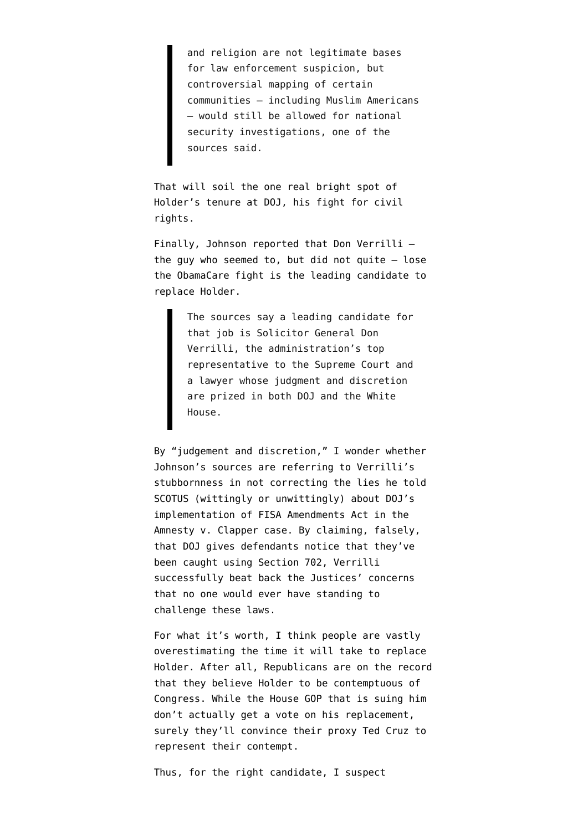and religion are not legitimate bases for law enforcement suspicion, but controversial mapping of certain communities — including Muslim Americans — would still be allowed for national security investigations, one of the sources said.

That will soil the one real bright spot of Holder's tenure at DOJ, his fight for civil rights.

Finally, Johnson reported that Don Verrilli the guy who seemed to, but did not quite  $-$  lose the ObamaCare fight is the leading candidate to replace Holder.

> The sources say a leading candidate for that job is Solicitor General Don Verrilli, the administration's top representative to the Supreme Court and a lawyer whose judgment and discretion are prized in both DOJ and the White House.

By "judgement and discretion," I wonder whether Johnson's sources are referring to Verrilli's stubbornness in not correcting the lies he told SCOTUS (wittingly or unwittingly) about DOJ's implementation of FISA Amendments Act in the Amnesty v. Clapper case. By claiming, falsely, that DOJ gives defendants notice that they've been caught using Section 702, Verrilli successfully beat back the Justices' concerns that no one would ever have standing to challenge these laws.

For what it's worth, I think people are vastly overestimating the time it will take to replace Holder. After all, Republicans are on the record that they believe Holder to be contemptuous of Congress. While the House GOP that is suing him don't actually get a vote on his replacement, surely they'll convince their proxy Ted Cruz to represent their contempt.

Thus, for the right candidate, I suspect